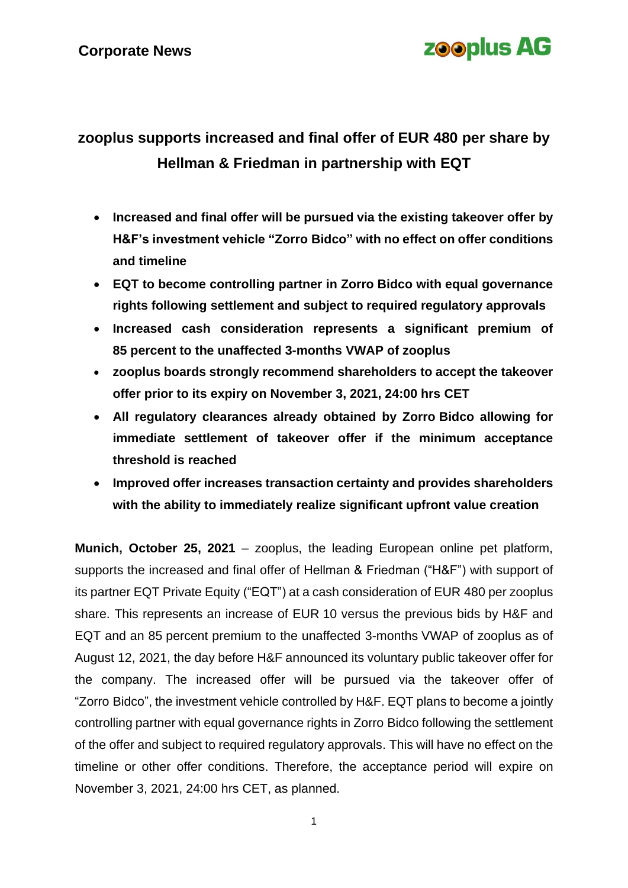### **Corporate News**

## **zooplus AG**

### **zooplus supports increased and final offer of EUR 480 per share by Hellman & Friedman in partnership with EQT**

- **Increased and final offer will be pursued via the existing takeover offer by H&F's investment vehicle "Zorro Bidco" with no effect on offer conditions and timeline**
- **EQT to become controlling partner in Zorro Bidco with equal governance rights following settlement and subject to required regulatory approvals**
- **Increased cash consideration represents a significant premium of 85 percent to the unaffected 3-months VWAP of zooplus**
- **zooplus boards strongly recommend shareholders to accept the takeover offer prior to its expiry on November 3, 2021, 24:00 hrs CET**
- **All regulatory clearances already obtained by Zorro Bidco allowing for immediate settlement of takeover offer if the minimum acceptance threshold is reached**
- **Improved offer increases transaction certainty and provides shareholders with the ability to immediately realize significant upfront value creation**

**Munich, October 25, 2021** – zooplus, the leading European online pet platform, supports the increased and final offer of Hellman & Friedman ("H&F") with support of its partner EQT Private Equity ("EQT") at a cash consideration of EUR 480 per zooplus share. This represents an increase of EUR 10 versus the previous bids by H&F and EQT and an 85 percent premium to the unaffected 3-months VWAP of zooplus as of August 12, 2021, the day before H&F announced its voluntary public takeover offer for the company. The increased offer will be pursued via the takeover offer of "Zorro Bidco", the investment vehicle controlled by H&F. EQT plans to become a jointly controlling partner with equal governance rights in Zorro Bidco following the settlement of the offer and subject to required regulatory approvals. This will have no effect on the timeline or other offer conditions. Therefore, the acceptance period will expire on November 3, 2021, 24:00 hrs CET, as planned.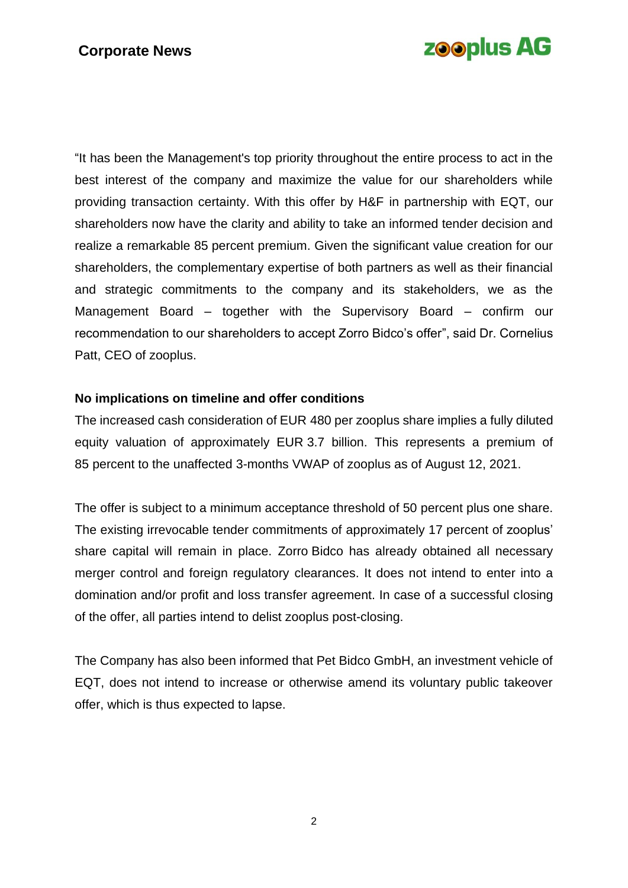# **zooplus AG**

"It has been the Management's top priority throughout the entire process to act in the best interest of the company and maximize the value for our shareholders while providing transaction certainty. With this offer by H&F in partnership with EQT, our shareholders now have the clarity and ability to take an informed tender decision and realize a remarkable 85 percent premium. Given the significant value creation for our shareholders, the complementary expertise of both partners as well as their financial and strategic commitments to the company and its stakeholders, we as the Management Board – together with the Supervisory Board – confirm our recommendation to our shareholders to accept Zorro Bidco's offer", said Dr. Cornelius Patt, CEO of zooplus.

### **No implications on timeline and offer conditions**

The increased cash consideration of EUR 480 per zooplus share implies a fully diluted equity valuation of approximately EUR 3.7 billion. This represents a premium of 85 percent to the unaffected 3-months VWAP of zooplus as of August 12, 2021.

The offer is subject to a minimum acceptance threshold of 50 percent plus one share. The existing irrevocable tender commitments of approximately 17 percent of zooplus' share capital will remain in place. Zorro Bidco has already obtained all necessary merger control and foreign regulatory clearances. It does not intend to enter into a domination and/or profit and loss transfer agreement. In case of a successful closing of the offer, all parties intend to delist zooplus post-closing.

The Company has also been informed that Pet Bidco GmbH, an investment vehicle of EQT, does not intend to increase or otherwise amend its voluntary public takeover offer, which is thus expected to lapse.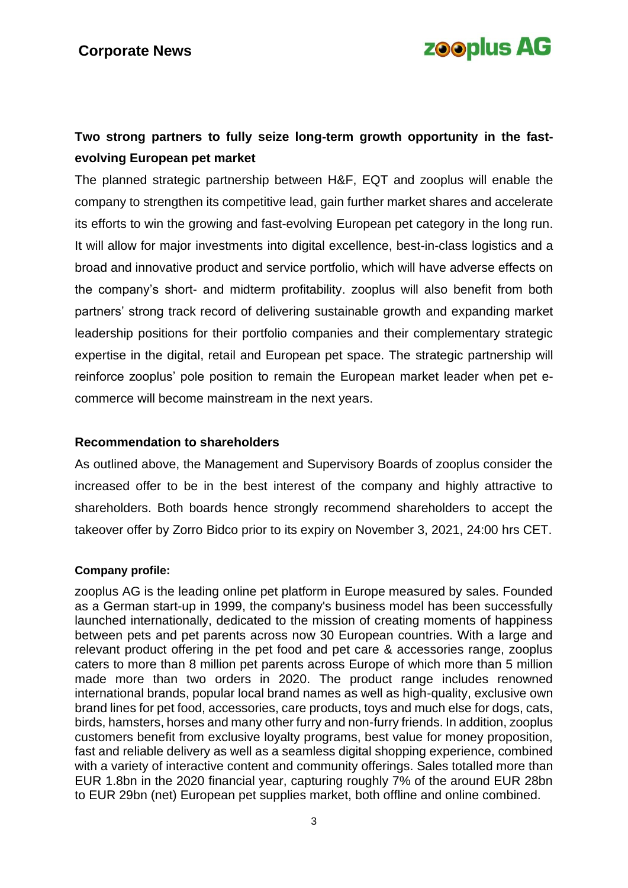# **zooplus AG**

### **Two strong partners to fully seize long-term growth opportunity in the fastevolving European pet market**

The planned strategic partnership between H&F, EQT and zooplus will enable the company to strengthen its competitive lead, gain further market shares and accelerate its efforts to win the growing and fast-evolving European pet category in the long run. It will allow for major investments into digital excellence, best-in-class logistics and a broad and innovative product and service portfolio, which will have adverse effects on the company's short- and midterm profitability. zooplus will also benefit from both partners' strong track record of delivering sustainable growth and expanding market leadership positions for their portfolio companies and their complementary strategic expertise in the digital, retail and European pet space. The strategic partnership will reinforce zooplus' pole position to remain the European market leader when pet ecommerce will become mainstream in the next years.

#### **Recommendation to shareholders**

As outlined above, the Management and Supervisory Boards of zooplus consider the increased offer to be in the best interest of the company and highly attractive to shareholders. Both boards hence strongly recommend shareholders to accept the takeover offer by Zorro Bidco prior to its expiry on November 3, 2021, 24:00 hrs CET.

#### **Company profile:**

zooplus AG is the leading online pet platform in Europe measured by sales. Founded as a German start-up in 1999, the company's business model has been successfully launched internationally, dedicated to the mission of creating moments of happiness between pets and pet parents across now 30 European countries. With a large and relevant product offering in the pet food and pet care & accessories range, zooplus caters to more than 8 million pet parents across Europe of which more than 5 million made more than two orders in 2020. The product range includes renowned international brands, popular local brand names as well as high-quality, exclusive own brand lines for pet food, accessories, care products, toys and much else for dogs, cats, birds, hamsters, horses and many other furry and non-furry friends. In addition, zooplus customers benefit from exclusive loyalty programs, best value for money proposition, fast and reliable delivery as well as a seamless digital shopping experience, combined with a variety of interactive content and community offerings. Sales totalled more than EUR 1.8bn in the 2020 financial year, capturing roughly 7% of the around EUR 28bn to EUR 29bn (net) European pet supplies market, both offline and online combined.